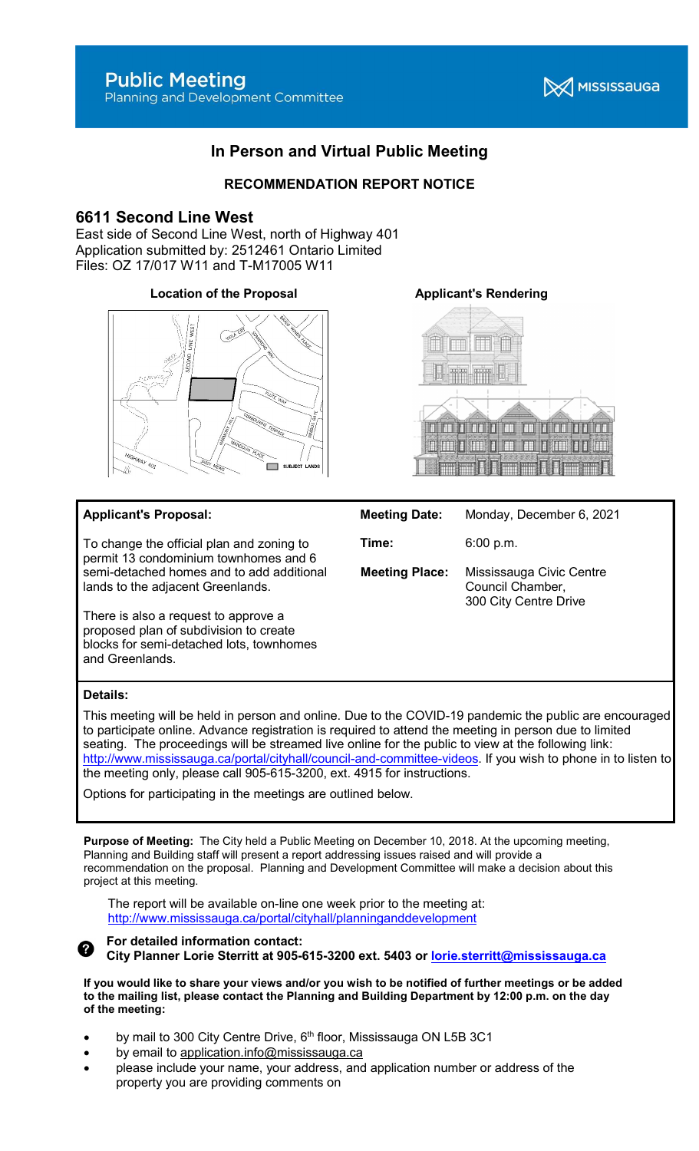

# In Person and Virtual Public Meeting

## RECOMMENDATION REPORT NOTICE

## 6611 Second Line West

East side of Second Line West, north of Highway 401 Application submitted by: 2512461 Ontario Limited Files: OZ 17/017 W11 and T-M17005 W11

## Location of the Proposal **Applicant's Rendering**





## Applicant's Proposal:

To change the official plan and zoning to permit 13 condominium townhomes and 6 semi-detached homes and to add additional lands to the adjacent Greenlands.

There is also a request to approve a proposed plan of subdivision to create blocks for semi-detached lots, townhomes and Greenlands.

## Meeting Date: Monday, December 6, 2021

**Time:** 6:00 p.m.

Meeting Place: Mississauga Civic Centre Council Chamber, 300 City Centre Drive

## Details:

This meeting will be held in person and online. Due to the COVID-19 pandemic the public are encouraged to participate online. Advance registration is required to attend the meeting in person due to limited seating. The proceedings will be streamed live online for the public to view at the following link: http://www.mississauga.ca/portal/cityhall/council-and-committee-videos. If you wish to phone in to listen to the meeting only, please call 905-615-3200, ext. 4915 for instructions.

Options for participating in the meetings are outlined below.

Purpose of Meeting: The City held a Public Meeting on December 10, 2018. At the upcoming meeting, Planning and Building staff will present a report addressing issues raised and will provide a recommendation on the proposal. Planning and Development Committee will make a decision about this project at this meeting.

The report will be available on-line one week prior to the meeting at: http://www.mississauga.ca/portal/cityhall/planninganddevelopment

## For detailed information contact:

City Planner Lorie Sterritt at 905-615-3200 ext. 5403 or lorie.sterritt@mississauga.ca

If you would like to share your views and/or you wish to be notified of further meetings or be added to the mailing list, please contact the Planning and Building Department by 12:00 p.m. on the day of the meeting:

- by mail to 300 City Centre Drive,  $6<sup>th</sup>$  floor, Mississauga ON L5B 3C1
- by email to application.info@mississauga.ca
- please include your name, your address, and application number or address of the property you are providing comments on